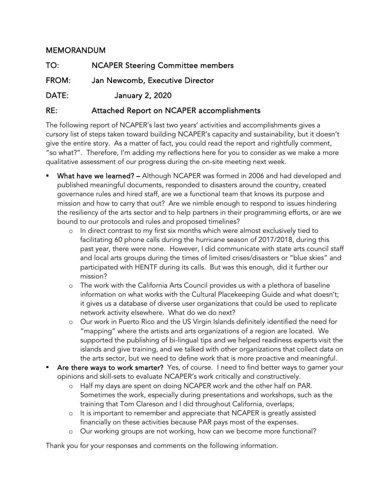## MEMORANDUM

| TO:   | <b>NCAPER Steering Committee members</b> |
|-------|------------------------------------------|
| FROM: | Jan Newcomb, Executive Director          |
| DATE: | January 2, 2020                          |

## RE: Attached Report on NCAPER accomplishments

The following report of NCAPER's last two years' activities and accomplishments gives a cursory list of steps taken toward building NCAPER's capacity and sustainability, but it doesn't give the entire story. As a matter of fact, you could read the report and rightfully comment, "so what?". Therefore, I'm adding my reflections here for you to consider as we make a more qualitative assessment of our progress during the on-site meeting next week.

- What have we learned? Although NCAPER was formed in 2006 and had developed and published meaningful documents, responded to disasters around the country, created governance rules and hired staff, are we a functional team that knows its purpose and mission and how to carry that out? Are we nimble enough to respond to issues hindering the resiliency of the arts sector and to help partners in their programming efforts, or are we bound to our protocols and rules and proposed timelines?
	- o In direct contrast to my first six months which were almost exclusively tied to facilitating 60 phone calls during the hurricane season of 2017/2018, during this past year, there were none. However, I did communicate with state arts council staff and local arts groups during the times of limited crises/disasters or "blue skies" and participated with HENTF during its calls. But was this enough, did it further our mission?
	- o The work with the California Arts Council provides us with a plethora of baseline information on what works with the Cultural Placekeeping Guide and what doesn't; it gives us a database of diverse user organizations that could be used to replicate network activity elsewhere. What do we do next?
	- o Our work in Puerto Rico and the US Virgin Islands definitely identified the need for "mapping" where the artists and arts organizations of a region are located. We supported the publishing of bi-lingual tips and we helped readiness experts visit the islands and give training, and we talked with other organizations that collect data on the arts sector, but we need to define work that is more proactive and meaningful.
- Are there ways to work smarter? Yes, of course. I need to find better ways to garner your opinions and skill-sets to evaluate NCAPER's work critically and constructively.
	- o Half my days are spent on doing NCAPER work and the other half on PAR. Sometimes the work, especially during presentations and workshops, such as the training that Tom Clareson and I did throughout California, overlaps;
	- o It is important to remember and appreciate that NCAPER is greatly assisted financially on these activities because PAR pays most of the expenses.
	- o Our working groups are not working, how can we become more functional?

Thank you for your responses and comments on the following information.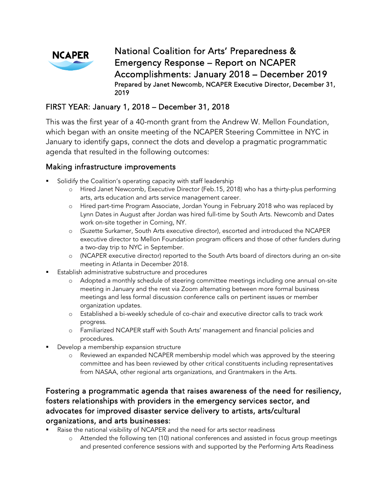

National Coalition for Arts' Preparedness & Emergency Response – Report on NCAPER Accomplishments: January 2018 – December 2019 Prepared by Janet Newcomb, NCAPER Executive Director, December 31, 2019

#### FIRST YEAR: January 1, 2018 – December 31, 2018

This was the first year of a 40-month grant from the Andrew W. Mellon Foundation, which began with an onsite meeting of the NCAPER Steering Committee in NYC in January to identify gaps, connect the dots and develop a pragmatic programmatic agenda that resulted in the following outcomes:

#### Making infrastructure improvements

- Solidify the Coalition's operating capacity with staff leadership
	- o Hired Janet Newcomb, Executive Director (Feb.15, 2018) who has a thirty-plus performing arts, arts education and arts service management career.
	- o Hired part-time Program Associate, Jordan Young in February 2018 who was replaced by Lynn Dates in August after Jordan was hired full-time by South Arts. Newcomb and Dates work on-site together in Corning, NY.
	- o (Suzette Surkamer, South Arts executive director), escorted and introduced the NCAPER executive director to Mellon Foundation program officers and those of other funders during a two-day trip to NYC in September.
	- o (NCAPER executive director) reported to the South Arts board of directors during an on-site meeting in Atlanta in December 2018.
- Establish administrative substructure and procedures
	- o Adopted a monthly schedule of steering committee meetings including one annual on-site meeting in January and the rest via Zoom alternating between more formal business meetings and less formal discussion conference calls on pertinent issues or member organization updates.
	- o Established a bi-weekly schedule of co-chair and executive director calls to track work progress.
	- o Familiarized NCAPER staff with South Arts' management and financial policies and procedures.
- Develop a membership expansion structure
	- o Reviewed an expanded NCAPER membership model which was approved by the steering committee and has been reviewed by other critical constituents including representatives from NASAA, other regional arts organizations, and Grantmakers in the Arts.

# Fostering a programmatic agenda that raises awareness of the need for resiliency, fosters relationships with providers in the emergency services sector, and advocates for improved disaster service delivery to artists, arts/cultural organizations, and arts businesses:

- Raise the national visibility of NCAPER and the need for arts sector readiness
	- o Attended the following ten (10) national conferences and assisted in focus group meetings and presented conference sessions with and supported by the Performing Arts Readiness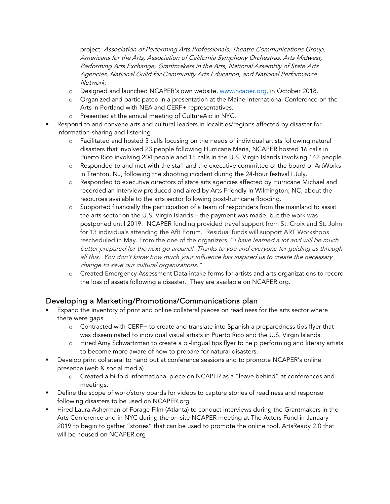project: Association of Performing Arts Professionals, Theatre Communications Group, Americans for the Arts, Association of California Symphony Orchestras, Arts Midwest, Performing Arts Exchange, Grantmakers in the Arts, National Assembly of State Arts Agencies, National Guild for Community Arts Education, and National Performance Network.

- o Designed and launched NCAPER's own website, [www.ncaper.org,](http://www.ncaper.org/) in October 2018.
- o Organized and participated in a presentation at the Maine International Conference on the Arts in Portland with NEA and CERF+ representatives.
- o Presented at the annual meeting of CultureAid in NYC.
- Respond to and convene arts and cultural leaders in localities/regions affected by disaster for information-sharing and listening
	- o Facilitated and hosted 3 calls focusing on the needs of individual artists following natural disasters that involved 23 people following Hurricane Maria, NCAPER hosted 16 calls in Puerto Rico involving 204 people and 15 calls in the U.S. Virgin Islands involving 142 people.
	- o Responded to and met with the staff and the executive committee of the board of ArtWorks in Trenton, NJ, following the shooting incident during the 24-hour festival I July.
	- o Responded to executive directors of state arts agencies affected by Hurricane Michael and recorded an interview produced and aired by Arts Friendly in Wilmington, NC, about the resources available to the arts sector following post-hurricane flooding.
	- o Supported financially the participation of a team of responders from the mainland to assist the arts sector on the U.S. Virgin Islands – the payment was made, but the work was postponed until 2019. NCAPER funding provided travel support from St. Croix and St. John for 13 individuals attending the AfR Forum. Residual funds will support ART Workshops rescheduled in May. From the one of the organizers, "I have learned a lot and will be much better prepared for the next go around! Thanks to you and everyone for guiding us through all this. You don't know how much your influence has inspired us to create the necessary change to save our cultural organizations."
	- o Created Emergency Assessment Data intake forms for artists and arts organizations to record the loss of assets following a disaster. They are available on NCAPER.org.

# Developing a Marketing/Promotions/Communications plan

- Expand the inventory of print and online collateral pieces on readiness for the arts sector where there were gaps
	- o Contracted with CERF+ to create and translate into Spanish a preparedness tips flyer that was disseminated to individual visual artists in Puerto Rico and the U.S. Virgin Islands.
	- o Hired Amy Schwartzman to create a bi-lingual tips flyer to help performing and literary artists to become more aware of how to prepare for natural disasters.
- Develop print collateral to hand out at conference sessions and to promote NCAPER's online presence (web & social media)
	- o Created a bi-fold informational piece on NCAPER as a "leave behind" at conferences and meetings.
- Define the scope of work/story boards for videos to capture stories of readiness and response following disasters to be used on NCAPER.org
- Hired Laura Asherman of Forage Film (Atlanta) to conduct interviews during the Grantmakers in the Arts Conference and in NYC during the on-site NCAPER meeting at The Actors Fund in January 2019 to begin to gather "stories" that can be used to promote the online tool, ArtsReady 2.0 that will be housed on NCAPER.org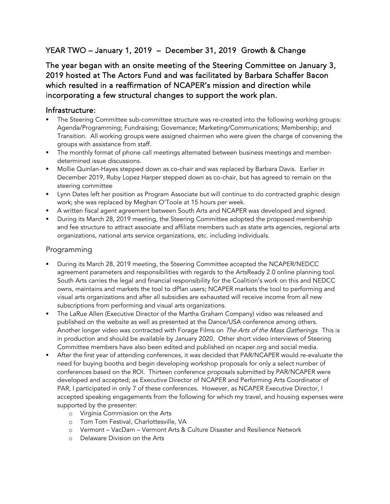# YEAR TWO – January 1, 2019 – December 31, 2019 Growth & Change

The year began with an onsite meeting of the Steering Committee on January 3, 2019 hosted at The Actors Fund and was facilitated by Barbara Schaffer Bacon which resulted in a reaffirmation of NCAPER's mission and direction while incorporating a few structural changes to support the work plan.

#### Infrastructure:

- The Steering Committee sub-committee structure was re-created into the following working groups: Agenda/Programming; Fundraising; Governance; Marketing/Communications; Membership; and Transition. All working groups were assigned chairmen who were given the charge of convening the groups with assistance from staff.
- The monthly format of phone call meetings alternated between business meetings and memberdetermined issue discussions.
- Mollie Quinlan-Hayes stepped down as co-chair and was replaced by Barbara Davis. Earlier in December 2019, Ruby Lopez Harper stepped down as co-chair, but has agreed to remain on the steering committee
- **•** Lynn Dates left her position as Program Associate but will continue to do contracted graphic design work; she was replaced by Meghan O'Toole at 15 hours per week.
- A written fiscal agent agreement between South Arts and NCAPER was developed and signed.
- **During its March 28, 2019 meeting, the Steering Committee adopted the proposed membership** and fee structure to attract associate and affiliate members such as state arts agencies, regional arts organizations, national arts service organizations, etc. including individuals.

#### Programming

- During its March 28, 2019 meeting, the Steering Committee accepted the NCAPER/NEDCC agreement parameters and responsibilities with regards to the ArtsReady 2.0 online planning tool. South Arts carries the legal and financial responsibility for the Coalition's work on this and NEDCC owns, maintains and markets the tool to dPlan users; NCAPER markets the tool to performing and visual arts organizations and after all subsidies are exhausted will receive income from all new subscriptions from performing and visual arts organizations.
- **The LaRue Allen (Executive Director of the Martha Graham Company) video was released and** published on the website as well as presented at the Dance/USA conference among others. Another longer video was contracted with Forage Films on *The Arts of the Mass Gatherings*. This is in production and should be available by January 2020. Other short video interviews of Steering Committee members have also been edited and published on ncaper.org and social media.
- After the first year of attending conferences, it was decided that PAR/NCAPER would re-evaluate the need for buying booths and begin developing workshop proposals for only a select number of conferences based on the ROI. Thirteen conference proposals submitted by PAR/NCAPER were developed and accepted; as Executive Director of NCAPER and Performing Arts Coordinator of PAR, I participated in only 7 of these conferences. However, as NCAPER Executive Director, I accepted speaking engagements from the following for which my travel, and housing expenses were supported by the presenter:
	- o Virginia Commission on the Arts
	- o Tom Tom Festival, Charlottesville, VA
	- o Vermont VacDarn Vermont Arts & Culture Disaster and Resilience Network
	- o Delaware Division on the Arts